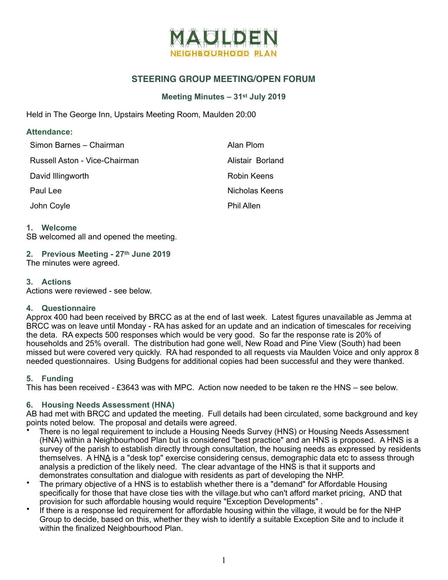

## **STEERING GROUP MEETING/OPEN FORUM**

## **Meeting Minutes – 31st July 2019**

Held in The George Inn, Upstairs Meeting Room, Maulden 20:00

## **Attendance:**

| Simon Barnes - Chairman       | Alan Plom         |
|-------------------------------|-------------------|
| Russell Aston - Vice-Chairman | Alistair Borland  |
| David Illingworth             | Robin Keens       |
| Paul Lee                      | Nicholas Keens    |
| John Coyle                    | <b>Phil Allen</b> |

#### **1. Welcome**

SB welcomed all and opened the meeting.

# **2. Previous Meeting - 27th June 2019**

The minutes were agreed.

## **3. Actions**

Actions were reviewed - see below.

#### **4. Questionnaire**

Approx 400 had been received by BRCC as at the end of last week. Latest figures unavailable as Jemma at BRCC was on leave until Monday - RA has asked for an update and an indication of timescales for receiving the deta. RA expects 500 responses which would be very good. So far the response rate is 20% of households and 25% overall. The distribution had gone well, New Road and Pine View (South) had been missed but were covered very quickly. RA had responded to all requests via Maulden Voice and only approx 8 needed questionnaires. Using Budgens for additional copies had been successful and they were thanked.

## **5. Funding**

This has been received - £3643 was with MPC. Action now needed to be taken re the HNS – see below.

#### **6. Housing Needs Assessment (HNA)**

AB had met with BRCC and updated the meeting. Full details had been circulated, some background and key points noted below. The proposal and details were agreed.

- There is no legal requirement to include a Housing Needs Survey (HNS) or Housing Needs Assessment (HNA) within a Neighbourhood Plan but is considered "best practice" and an HNS is proposed. A HNS is a survey of the parish to establish directly through consultation, the housing needs as expressed by residents themselves. A HNA is a "desk top" exercise considering census, demographic data etc to assess through analysis a prediction of the likely need. The clear advantage of the HNS is that it supports and demonstrates consultation and dialogue with residents as part of developing the NHP.
- The primary objective of a HNS is to establish whether there is a "demand" for Affordable Housing specifically for those that have close ties with the village.but who can't afford market pricing, AND that provision for such affordable housing would require "Exception Developments" .
- If there is a response led requirement for affordable housing within the village, it would be for the NHP Group to decide, based on this, whether they wish to identify a suitable Exception Site and to include it within the finalized Neighbourhood Plan.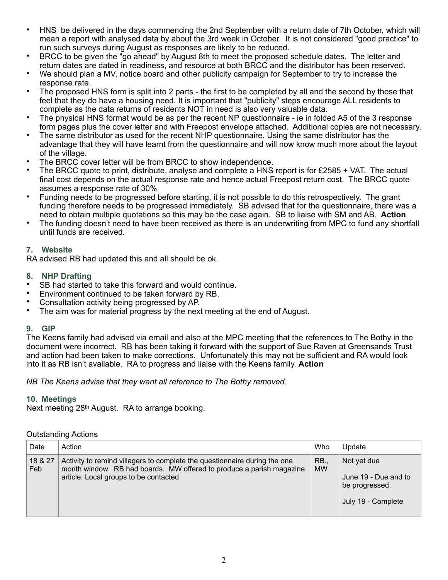- HNS be delivered in the days commencing the 2nd September with a return date of 7th October, which will mean a report with analysed data by about the 3rd week in October. It is not considered "good practice" to run such surveys during August as responses are likely to be reduced.
- BRCC to be given the "go ahead" by August 8th to meet the proposed schedule dates. The letter and return dates are dated in readiness, and resource at both BRCC and the distributor has been reserved.
- We should plan a MV, notice board and other publicity campaign for September to try to increase the response rate.
- The proposed HNS form is split into 2 parts the first to be completed by all and the second by those that feel that they do have a housing need. It is important that "publicity" steps encourage ALL residents to complete as the data returns of residents NOT in need is also very valuable data.
- The physical HNS format would be as per the recent NP questionnaire ie in folded A5 of the 3 response form pages plus the cover letter and with Freepost envelope attached. Additional copies are not necessary.
- The same distributor as used for the recent NHP questionnaire. Using the same distributor has the advantage that they will have learnt from the questionnaire and will now know much more about the layout of the village.
- The BRCC cover letter will be from BRCC to show independence.
- The BRCC quote to print, distribute, analyse and complete a HNS report is for £2585 + VAT. The actual final cost depends on the actual response rate and hence actual Freepost return cost. The BRCC quote assumes a response rate of 30%
- Funding needs to be progressed before starting, it is not possible to do this retrospectively. The grant funding therefore needs to be progressed immediately. SB advised that for the questionnaire, there was a need to obtain multiple quotations so this may be the case again. SB to liaise with SM and AB. **Action**
- The funding doesn't need to have been received as there is an underwriting from MPC to fund any shortfall until funds are received.

## **7. Website**

RA advised RB had updated this and all should be ok.

## **8. NHP Drafting**

- SB had started to take this forward and would continue.
- Environment continued to be taken forward by RB.
- Consultation activity being progressed by AP.
- The aim was for material progress by the next meeting at the end of August.

## **9. GIP**

The Keens family had advised via email and also at the MPC meeting that the references to The Bothy in the document were incorrect. RB has been taking it forward with the support of Sue Raven at Greensands Trust and action had been taken to make corrections. Unfortunately this may not be sufficient and RA would look into it as RB isn't available. RA to progress and liaise with the Keens family. **Action** 

*NB The Keens advise that they want all reference to The Bothy removed.* 

#### **10. Meetings**

Next meeting 28th August. RA to arrange booking.

#### Outstanding Actions

| Date           | Action                                                                                                                                                                                     | Who                      | Update                                                                      |
|----------------|--------------------------------------------------------------------------------------------------------------------------------------------------------------------------------------------|--------------------------|-----------------------------------------------------------------------------|
| 18 & 27<br>Feb | Activity to remind villagers to complete the questionnaire during the one<br>month window. RB had boards. MW offered to produce a parish magazine<br>article. Local groups to be contacted | <b>RB.,</b><br><b>MW</b> | Not yet due<br>June 19 - Due and to<br>be progressed.<br>July 19 - Complete |